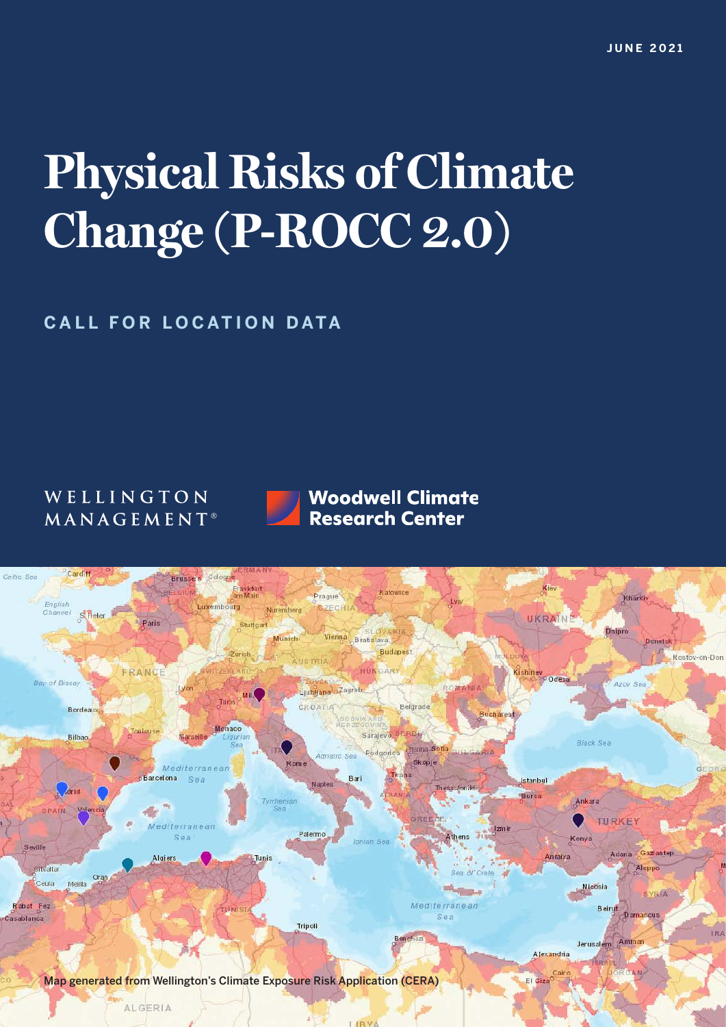# **Physical Risks of Climate Change (P-ROCC 2.0)**

**CALL FOR LOCATION DATA** 

# WELLINGTON MANAGEMENT<sup>®</sup>



**Woodwell Climate Research Center** 

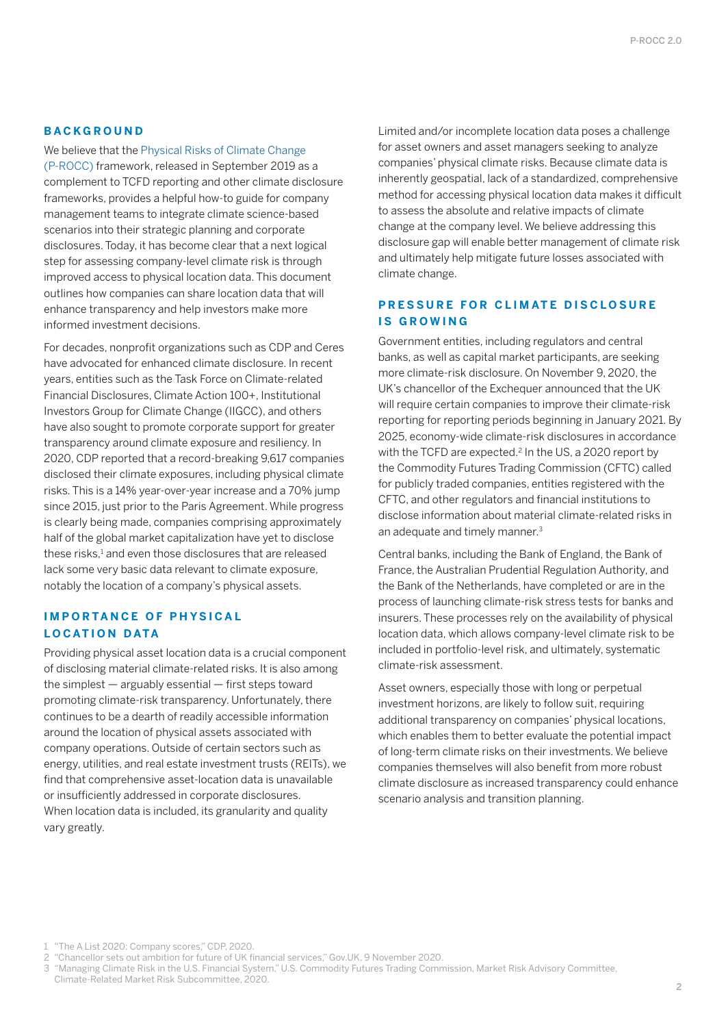### **BACKGROUND**

We believe that the [Physical Risks of Climate Change](https://www.wellington.com/uploads/2019/10/e01e2a4ed6fce336dce93f86f0af9883/physical-risks-of-climate-change_procc_framework.pdf)  [\(P-ROCC\)](https://www.wellington.com/uploads/2019/10/e01e2a4ed6fce336dce93f86f0af9883/physical-risks-of-climate-change_procc_framework.pdf) framework, released in September 2019 as a complement to TCFD reporting and other climate disclosure frameworks, provides a helpful how-to guide for company management teams to integrate climate science-based scenarios into their strategic planning and corporate disclosures. Today, it has become clear that a next logical step for assessing company-level climate risk is through improved access to physical location data. This document outlines how companies can share location data that will enhance transparency and help investors make more informed investment decisions.

For decades, nonprofit organizations such as CDP and Ceres have advocated for enhanced climate disclosure. In recent years, entities such as the Task Force on Climate-related Financial Disclosures, Climate Action 100+, Institutional Investors Group for Climate Change (IIGCC), and others have also sought to promote corporate support for greater transparency around climate exposure and resiliency. In 2020, CDP reported that a record-breaking 9,617 companies disclosed their climate exposures, including physical climate risks. This is a 14% year-over-year increase and a 70% jump since 2015, just prior to the Paris Agreement. While progress is clearly being made, companies comprising approximately half of the global market capitalization have yet to disclose these risks,<sup>1</sup> and even those disclosures that are released lack some very basic data relevant to climate exposure, notably the location of a company's physical assets.

# **IMPORTANCE OF PHYSICAL LOCATION DATA**

Providing physical asset location data is a crucial component of disclosing material climate-related risks. It is also among the simplest — arguably essential — first steps toward promoting climate-risk transparency. Unfortunately, there continues to be a dearth of readily accessible information around the location of physical assets associated with company operations. Outside of certain sectors such as energy, utilities, and real estate investment trusts (REITs), we find that comprehensive asset-location data is unavailable or insufficiently addressed in corporate disclosures. When location data is included, its granularity and quality vary greatly.

Limited and/or incomplete location data poses a challenge for asset owners and asset managers seeking to analyze companies' physical climate risks. Because climate data is inherently geospatial, lack of a standardized, comprehensive method for accessing physical location data makes it difficult to assess the absolute and relative impacts of climate change at the company level. We believe addressing this disclosure gap will enable better management of climate risk and ultimately help mitigate future losses associated with climate change.

# **PRESSURE FOR CLIMATE DISCLOSURE IS GROWING**

Government entities, including regulators and central banks, as well as capital market participants, are seeking more climate-risk disclosure. On November 9, 2020, the UK's chancellor of the Exchequer announced that the UK will require certain companies to improve their climate-risk reporting for reporting periods beginning in January 2021. By 2025, economy-wide climate-risk disclosures in accordance with the TCFD are expected.<sup>2</sup> In the US, a 2020 report by the Commodity Futures Trading Commission (CFTC) called for publicly traded companies, entities registered with the CFTC, and other regulators and financial institutions to disclose information about material climate-related risks in an adequate and timely manner.3

Central banks, including the Bank of England, the Bank of France, the Australian Prudential Regulation Authority, and the Bank of the Netherlands, have completed or are in the process of launching climate-risk stress tests for banks and insurers. These processes rely on the availability of physical location data, which allows company-level climate risk to be included in portfolio-level risk, and ultimately, systematic climate-risk assessment.

Asset owners, especially those with long or perpetual investment horizons, are likely to follow suit, requiring additional transparency on companies' physical locations, which enables them to better evaluate the potential impact of long-term climate risks on their investments. We believe companies themselves will also benefit from more robust climate disclosure as increased transparency could enhance scenario analysis and transition planning.

1 "The A List 2020: Company scores," CDP, 2020.

3 "Managing Climate Risk in the U.S. Financial System," U.S. Commodity Futures Trading Commission, Market Risk Advisory Committee, Climate‑Related Market Risk Subcommittee, 2020.

<sup>2</sup> "Chancellor sets out ambition for future of UK financial services," Gov.UK, 9 November 2020.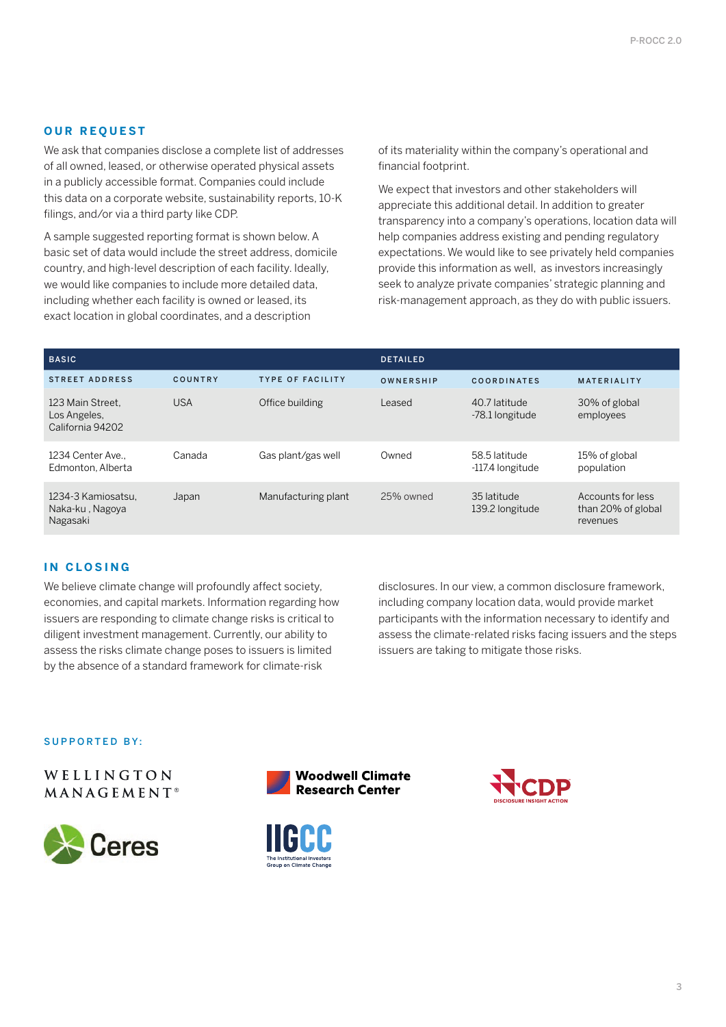### **OUR REQUEST**

We ask that companies disclose a complete list of addresses of all owned, leased, or otherwise operated physical assets in a publicly accessible format. Companies could include this data on a corporate website, sustainability reports, 10-K filings, and/or via a third party like CDP.

A sample suggested reporting format is shown below. A basic set of data would include the street address, domicile country, and high-level description of each facility. Ideally, we would like companies to include more detailed data, including whether each facility is owned or leased, its exact location in global coordinates, and a description

of its materiality within the company's operational and financial footprint.

We expect that investors and other stakeholders will appreciate this additional detail. In addition to greater transparency into a company's operations, location data will help companies address existing and pending regulatory expectations. We would like to see privately held companies provide this information as well, as investors increasingly seek to analyze private companies' strategic planning and risk-management approach, as they do with public issuers.

| <b>BASIC</b>                                         |            |                         | <b>DETAILED</b> |                                   |                                                     |
|------------------------------------------------------|------------|-------------------------|-----------------|-----------------------------------|-----------------------------------------------------|
| <b>STREET ADDRESS</b>                                | COUNTRY    | <b>TYPE OF FACILITY</b> | OWNERSHIP       | <b>COORDINATES</b>                | <b>MATERIALITY</b>                                  |
| 123 Main Street.<br>Los Angeles,<br>California 94202 | <b>USA</b> | Office building         | Leased          | 40.7 latitude<br>-78.1 longitude  | 30% of global<br>employees                          |
| 1234 Center Ave<br>Edmonton, Alberta                 | Canada     | Gas plant/gas well      | Owned           | 58.5 latitude<br>-117.4 longitude | 15% of global<br>population                         |
| 1234-3 Kamiosatsu.<br>Naka-ku, Nagoya<br>Nagasaki    | Japan      | Manufacturing plant     | 25% owned       | 35 latitude<br>139.2 longitude    | Accounts for less<br>than 20% of global<br>revenues |

## **IN CLOSING**

We believe climate change will profoundly affect society, economies, and capital markets. Information regarding how issuers are responding to climate change risks is critical to diligent investment management. Currently, our ability to assess the risks climate change poses to issuers is limited by the absence of a standard framework for climate-risk

disclosures. In our view, a common disclosure framework, including company location data, would provide market participants with the information necessary to identify and assess the climate-related risks facing issuers and the steps issuers are taking to mitigate those risks.

SUPPORTED BY:

WELLINGTON MANAGEMENT<sup>®</sup>